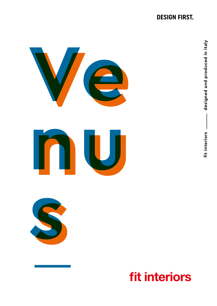### **DESIGN FIRST.**







## **fit interiors**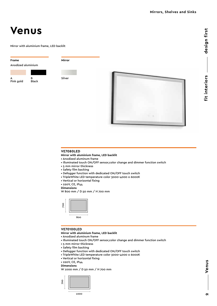## **Venus**

Mirror with aluminium frame, LED backlit

#### **Frame**

Anodized aluminium

A Pink gold B **Black** 

Silver

**Mirror**



#### **VE7080LED**

**Mirror with aluminium frame, LED backlit**

- Anodized aluminum frame
- Illuminated touch ON/OFF sensor,color change and dimmer function switch
- 5 mm mirror thickness
- Safety film backing
- Defogger function with dedicated ON/OFF touch switch
- TripleWhite LED temperature color 3000-4000 o 6000K
- Vertical or horizontal fixing
- 220V, CE, IP44

#### **Dimensions**

W 800 mm / D 50 mm / H 700 mm



#### **VE70100LED**

**Mirror with aluminium frame, LED backlit**

- Anodized aluminum frame
- Illuminated touch ON/OFF sensor,color change and dimmer function switch
- 5 mm mirror thickness
- Safety film backing
- Defogger function with dedicated ON/OFF touch switch
- TripleWhite LED temperature color 3000-4000 o 6000K
- Vertical or horizontal fixing
- 220V, CE, IP44
- **Dimensions**

W 1000 mm / D 50 mm / H 700 mm

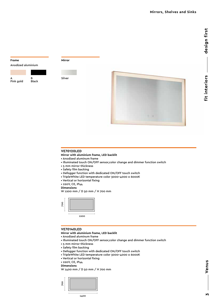# design first **fit interiors design first** fit interiors

#### **Frame**

Anodized aluminium



Silver

**Mirror**



#### **VE70120LED**

**Mirror with aluminium frame, LED backlit**

- Anodized aluminum frame
- Illuminated touch ON/OFF sensor,color change and dimmer function switch
- 5 mm mirror thickness
- Safety film backing
- Defogger function with dedicated ON/OFF touch switch
- TripleWhite LED temperature color 3000-4000 o 6000K
- Vertical or horizontal fixing
- 220V, CE, IP44
- **Dimensions**

W 1200 mm / D 50 mm / H 700 mm



#### **VE70140LED**

**Mirror with aluminium frame, LED backlit**

- Anodized aluminum frame
- Illuminated touch ON/OFF sensor,color change and dimmer function switch
- 5 mm mirror thickness
- Safety film backing
- Defogger function with dedicated ON/OFF touch switch
- TripleWhite LED temperature color 3000-4000 o 6000K
- Vertical or horizontal fixing
- 220V, CE, IP44
- **Dimensions**

W 1400 mm / D 50 mm / H 700 mm